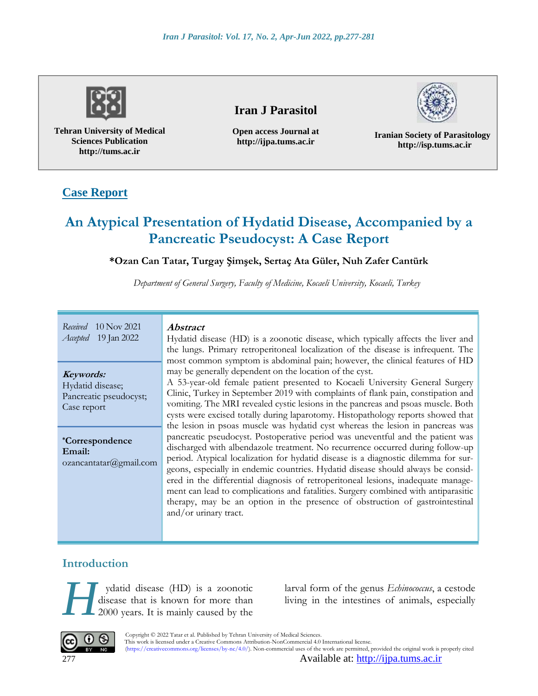

**Tehran University of Medical Sciences Publication http://tums.ac.ir**

# **Iran J Parasitol**

**Open access Journal at http://ijpa.tums.ac.ir**

**Iranian Society of Parasitology http://isp.tums.ac.ir**

# **Case Report**

# **An Atypical Presentation of Hydatid Disease, Accompanied by a Pancreatic Pseudocyst: A Case Report**

#### **\*Ozan Can Tatar, Turgay Şimşek, Sertaç Ata Güler, Nuh Zafer Cantürk**

*Department of General Surgery, Faculty of Medicine, Kocaeli University, Kocaeli, Turkey*

| Received $10$ Nov 2021      |
|-----------------------------|
| <i>Accepted</i> 19 Jan 2022 |

**Keywords:** Hydatid disease;

Pancreatic pseudocyst; Case report

**\*Correspondence Email:** ozancantatar@gmail.com

#### **Abstract**

Hydatid disease (HD) is a zoonotic disease, which typically affects the liver and the lungs. Primary retroperitoneal localization of the disease is infrequent. The most common symptom is abdominal pain; however, the clinical features of HD may be generally dependent on the location of the cyst.

A 53-year-old female patient presented to Kocaeli University General Surgery Clinic, Turkey in September 2019 with complaints of flank pain, constipation and vomiting. The MRI revealed cystic lesions in the pancreas and psoas muscle. Both cysts were excised totally during laparotomy. Histopathology reports showed that the lesion in psoas muscle was hydatid cyst whereas the lesion in pancreas was pancreatic pseudocyst. Postoperative period was uneventful and the patient was discharged with albendazole treatment. No recurrence occurred during follow-up period. Atypical localization for hydatid disease is a diagnostic dilemma for surgeons, especially in endemic countries. Hydatid disease should always be considered in the differential diagnosis of retroperitoneal lesions, inadequate management can lead to complications and fatalities. Surgery combined with antiparasitic therapy, may be an option in the presence of obstruction of gastrointestinal and/or urinary tract.

### **Introduction**

ydatid disease (HD) is a zoonotic disease that is known for more than 2000 years. It is mainly caused by the ydatid disease (HD) is a zoonotic *larval form of the genus <i>Echinococcus*, a cestode disease that is known for more than 2000 years. It is mainly caused by the



Copyright © 2022 Tatar et al. Published by Tehran University of Medical Sciences.<br>This work is licensed under a Creative Commons Attribution NonCommercial 4.0. This work is licensed under a Creative Commons Attribution-NonCommercial 4.0 International license. (https://creativecommons.org/licenses/by-nc/4.0/). Non-commercial uses of the work are permitted, provided the original work is properly cited

277 Available at: [http://ijpa.tums.ac.ir](http://ijpa.tums.ac.ir/)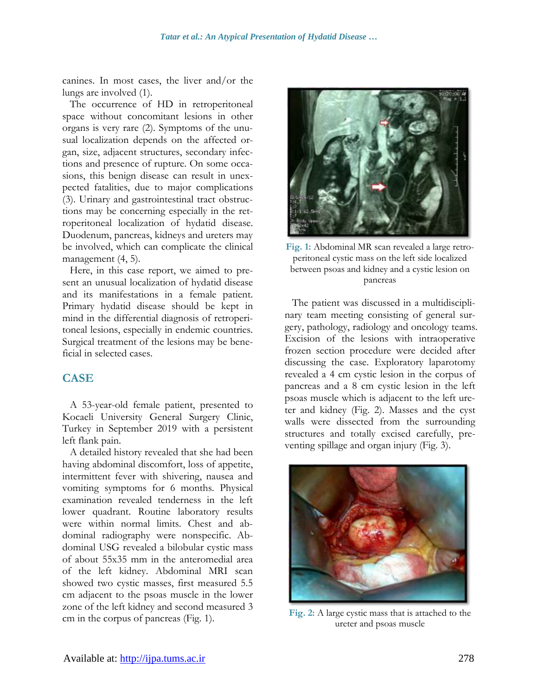canines. In most cases, the liver and/or the lungs are involved (1).

The occurrence of HD in retroperitoneal space without concomitant lesions in other organs is very rare (2). Symptoms of the unusual localization depends on the affected organ, size, adjacent structures, secondary infections and presence of rupture. On some occasions, this benign disease can result in unexpected fatalities, due to major complications (3). Urinary and gastrointestinal tract obstructions may be concerning especially in the retroperitoneal localization of hydatid disease. Duodenum, pancreas, kidneys and ureters may be involved, which can complicate the clinical management  $(4, 5)$ .

Here, in this case report, we aimed to present an unusual localization of hydatid disease and its manifestations in a female patient. Primary hydatid disease should be kept in mind in the differential diagnosis of retroperitoneal lesions, especially in endemic countries. Surgical treatment of the lesions may be beneficial in selected cases.

#### **CASE**

A 53-year-old female patient, presented to Kocaeli University General Surgery Clinic, Turkey in September 2019 with a persistent left flank pain.

A detailed history revealed that she had been having abdominal discomfort, loss of appetite, intermittent fever with shivering, nausea and vomiting symptoms for 6 months. Physical examination revealed tenderness in the left lower quadrant. Routine laboratory results were within normal limits. Chest and abdominal radiography were nonspecific. Abdominal USG revealed a bilobular cystic mass of about 55x35 mm in the anteromedial area of the left kidney. Abdominal MRI scan showed two cystic masses, first measured 5.5 cm adjacent to the psoas muscle in the lower zone of the left kidney and second measured 3 cm in the corpus of pancreas (Fig. 1).



**Fig. 1:** Abdominal MR scan revealed a large retroperitoneal cystic mass on the left side localized between psoas and kidney and a cystic lesion on pancreas

The patient was discussed in a multidisciplinary team meeting consisting of general surgery, pathology, radiology and oncology teams. Excision of the lesions with intraoperative frozen section procedure were decided after discussing the case. Exploratory laparotomy revealed a 4 cm cystic lesion in the corpus of pancreas and a 8 cm cystic lesion in the left psoas muscle which is adjacent to the left ureter and kidney (Fig. 2). Masses and the cyst walls were dissected from the surrounding structures and totally excised carefully, preventing spillage and organ injury (Fig. 3).



**Fig. 2:** A large cystic mass that is attached to the ureter and psoas muscle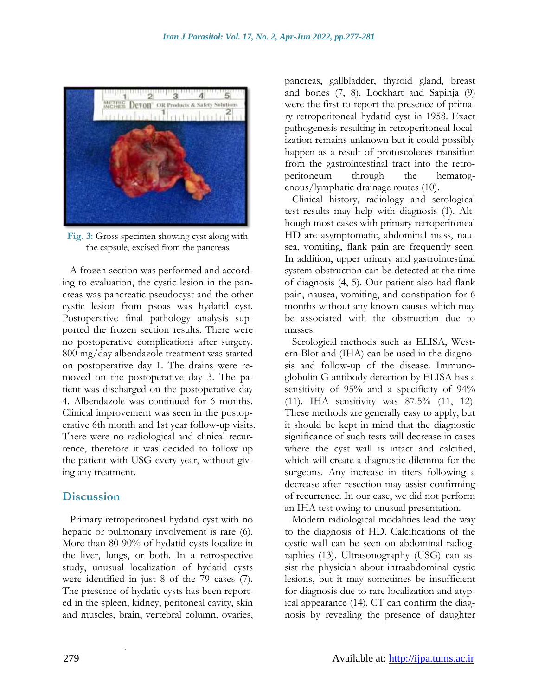

**Fig. 3:** Gross specimen showing cyst along with the capsule, excised from the pancreas

A frozen section was performed and according to evaluation, the cystic lesion in the pancreas was pancreatic pseudocyst and the other cystic lesion from psoas was hydatid cyst. Postoperative final pathology analysis supported the frozen section results. There were no postoperative complications after surgery. 800 mg/day albendazole treatment was started on postoperative day 1. The drains were removed on the postoperative day 3. The patient was discharged on the postoperative day 4. Albendazole was continued for 6 months. Clinical improvement was seen in the postoperative 6th month and 1st year follow-up visits. There were no radiological and clinical recurrence, therefore it was decided to follow up the patient with USG every year, without giving any treatment.

#### **Discussion**

Primary retroperitoneal hydatid cyst with no hepatic or pulmonary involvement is rare (6). More than 80-90% of hydatid cysts localize in the liver, lungs, or both. In a retrospective study, unusual localization of hydatid cysts were identified in just 8 of the 79 cases (7). The presence of hydatic cysts has been reported in the spleen, kidney, peritoneal cavity, skin and muscles, brain, vertebral column, ovaries,

.

pancreas, gallbladder, thyroid gland, breast and bones (7, 8). Lockhart and Sapinja (9) were the first to report the presence of primary retroperitoneal hydatid cyst in 1958. Exact pathogenesis resulting in retroperitoneal localization remains unknown but it could possibly happen as a result of protoscoleces transition from the gastrointestinal tract into the retroperitoneum through the hematogenous/lymphatic drainage routes (10).

Clinical history, radiology and serological test results may help with diagnosis (1). Although most cases with primary retroperitoneal HD are asymptomatic, abdominal mass, nausea, vomiting, flank pain are frequently seen. In addition, upper urinary and gastrointestinal system obstruction can be detected at the time of diagnosis (4, 5). Our patient also had flank pain, nausea, vomiting, and constipation for 6 months without any known causes which may be associated with the obstruction due to masses.

Serological methods such as ELISA, Western-Blot and (IHA) can be used in the diagnosis and follow-up of the disease. Immunoglobulin G antibody detection by ELISA has a sensitivity of 95% and a specificity of 94% (11). IHA sensitivity was 87.5% (11, 12). These methods are generally easy to apply, but it should be kept in mind that the diagnostic significance of such tests will decrease in cases where the cyst wall is intact and calcified, which will create a diagnostic dilemma for the surgeons. Any increase in titers following a decrease after resection may assist confirming of recurrence. In our case, we did not perform an IHA test owing to unusual presentation.

Modern radiological modalities lead the way to the diagnosis of HD. Calcifications of the cystic wall can be seen on abdominal radiographies (13). Ultrasonography (USG) can assist the physician about intraabdominal cystic lesions, but it may sometimes be insufficient for diagnosis due to rare localization and atypical appearance (14). CT can confirm the diagnosis by revealing the presence of daughter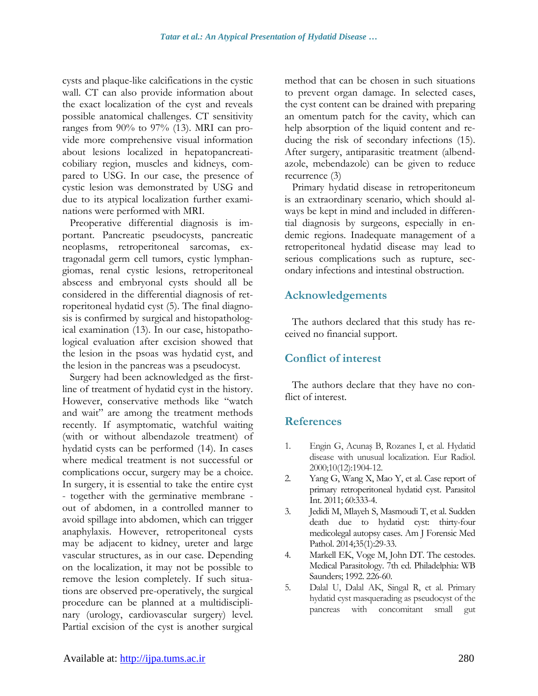cysts and plaque-like calcifications in the cystic wall. CT can also provide information about the exact localization of the cyst and reveals possible anatomical challenges. CT sensitivity ranges from 90% to 97% (13). MRI can provide more comprehensive visual information about lesions localized in hepatopancreaticobiliary region, muscles and kidneys, compared to USG. In our case, the presence of cystic lesion was demonstrated by USG and due to its atypical localization further examinations were performed with MRI.

Preoperative differential diagnosis is important. Pancreatic pseudocysts, pancreatic neoplasms, retroperitoneal sarcomas, extragonadal germ cell tumors, cystic lymphangiomas, renal cystic lesions, retroperitoneal abscess and embryonal cysts should all be considered in the differential diagnosis of retroperitoneal hydatid cyst (5). The final diagnosis is confirmed by surgical and histopathological examination (13). In our case, histopathological evaluation after excision showed that the lesion in the psoas was hydatid cyst, and the lesion in the pancreas was a pseudocyst.

Surgery had been acknowledged as the firstline of treatment of hydatid cyst in the history. However, conservative methods like "watch and wait" are among the treatment methods recently. If asymptomatic, watchful waiting (with or without albendazole treatment) of hydatid cysts can be performed (14). In cases where medical treatment is not successful or complications occur, surgery may be a choice. In surgery, it is essential to take the entire cyst - together with the germinative membrane out of abdomen, in a controlled manner to avoid spillage into abdomen, which can trigger anaphylaxis. However, retroperitoneal cysts may be adjacent to kidney, ureter and large vascular structures, as in our case. Depending on the localization, it may not be possible to remove the lesion completely. If such situations are observed pre-operatively, the surgical procedure can be planned at a multidisciplinary (urology, cardiovascular surgery) level. Partial excision of the cyst is another surgical method that can be chosen in such situations to prevent organ damage. In selected cases, the cyst content can be drained with preparing an omentum patch for the cavity, which can help absorption of the liquid content and reducing the risk of secondary infections (15). After surgery, antiparasitic treatment (albendazole, mebendazole) can be given to reduce recurrence (3)

Primary hydatid disease in retroperitoneum is an extraordinary scenario, which should always be kept in mind and included in differential diagnosis by surgeons, especially in endemic regions. Inadequate management of a retroperitoneal hydatid disease may lead to serious complications such as rupture, secondary infections and intestinal obstruction.

### **Acknowledgements**

The authors declared that this study has received no financial support.

## **Conflict of interest**

The authors declare that they have no conflict of interest.

### **References**

- 1. Engin G, Acunaş B, Rozanes I, et al. Hydatid disease with unusual localization. Eur Radiol. 2000;10(12):1904-12.
- 2. Yang G, Wang X, Mao Y, et al. Case report of primary retroperitoneal hydatid cyst. Parasitol Int. 2011; 60:333-4.
- 3. Jedidi M, Mlayeh S, Masmoudi T, et al. Sudden death due to hydatid cyst: thirty-four medicolegal autopsy cases. Am J Forensic Med Pathol. 2014;35(1):29-33.
- 4. Markell EK, Voge M, John DT. The cestodes. Medical Parasitology. 7th ed. Philadelphia: WB Saunders; 1992. 226-60.
- 5. Dalal U, Dalal AK, Singal R, et al. Primary hydatid cyst masquerading as pseudocyst of the pancreas with concomitant small gut